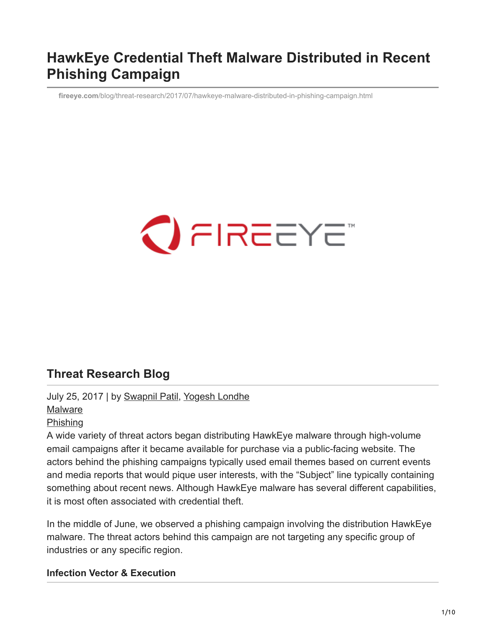#### **HawkEye Credential Theft Malware Distributed in Recent Phishing Campaign**

**fireeye.com**[/blog/threat-research/2017/07/hawkeye-malware-distributed-in-phishing-campaign.html](https://www.fireeye.com/blog/threat-research/2017/07/hawkeye-malware-distributed-in-phishing-campaign.html)

# $\bigcirc$  FIREEYE

#### **Threat Research Blog**

July 25, 2017 | by [Swapnil Patil,](https://www.fireeye.com/blog/threat-research.html/category/etc/tags/fireeye-blog-authors/swapnil-patil) [Yogesh Londhe](https://www.fireeye.com/blog/threat-research.html/category/etc/tags/fireeye-blog-authors/yogesh-londhe) [Malware](https://www.fireeye.com/blog/threat-research.html/category/etc/tags/fireeye-blog-tags/malware) [Phishing](https://www.fireeye.com/blog/threat-research.html/category/etc/tags/fireeye-blog-tags/phishing)

A wide variety of threat actors began distributing HawkEye malware through high-volume email campaigns after it became available for purchase via a public-facing website. The actors behind the phishing campaigns typically used email themes based on current events and media reports that would pique user interests, with the "Subject" line typically containing something about recent news. Although HawkEye malware has several different capabilities, it is most often associated with credential theft.

In the middle of June, we observed a phishing campaign involving the distribution HawkEye malware. The threat actors behind this campaign are not targeting any specific group of industries or any specific region.

#### **Infection Vector & Execution**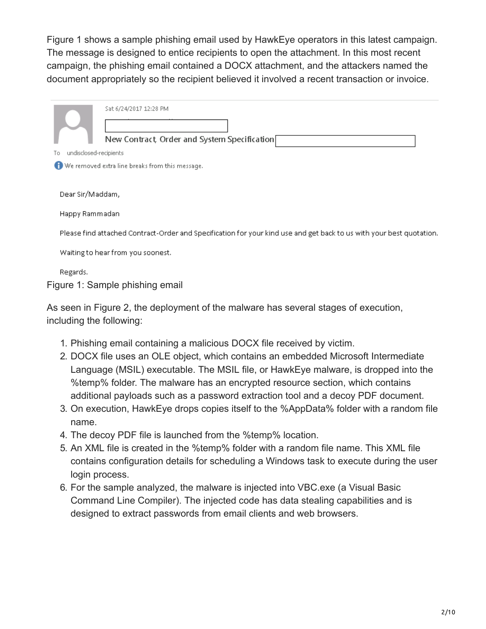Figure 1 shows a sample phishing email used by HawkEye operators in this latest campaign. The message is designed to entice recipients to open the attachment. In this most recent campaign, the phishing email contained a DOCX attachment, and the attackers named the document appropriately so the recipient believed it involved a recent transaction or invoice.



As seen in Figure 2, the deployment of the malware has several stages of execution, including the following:

- 1. Phishing email containing a malicious DOCX file received by victim.
- 2. DOCX file uses an OLE object, which contains an embedded Microsoft Intermediate Language (MSIL) executable. The MSIL file, or HawkEye malware, is dropped into the %temp% folder. The malware has an encrypted resource section, which contains additional payloads such as a password extraction tool and a decoy PDF document.
- 3. On execution, HawkEye drops copies itself to the %AppData% folder with a random file name.
- 4. The decoy PDF file is launched from the %temp% location.
- 5. An XML file is created in the %temp% folder with a random file name. This XML file contains configuration details for scheduling a Windows task to execute during the user login process.
- 6. For the sample analyzed, the malware is injected into VBC.exe (a Visual Basic Command Line Compiler). The injected code has data stealing capabilities and is designed to extract passwords from email clients and web browsers.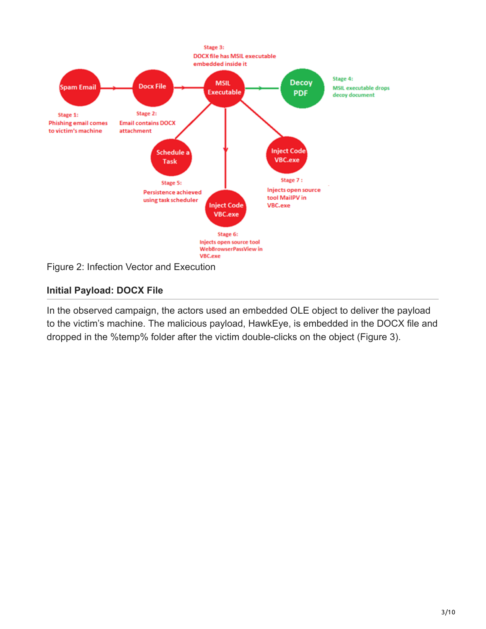

#### **Initial Payload: DOCX File**

In the observed campaign, the actors used an embedded OLE object to deliver the payload to the victim's machine. The malicious payload, HawkEye, is embedded in the DOCX file and dropped in the %temp% folder after the victim double-clicks on the object (Figure 3).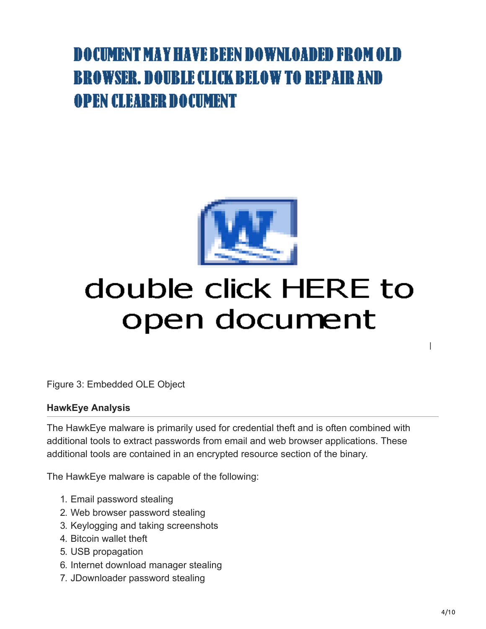### DOCUMENT MAY HAVE REEN DOWNLOADED FROM OLD **BROWSER. DOUBLE CLICK BELOW TO REPAIR AND OPEN CLEARER DOCUMENT**



## double click HERE to open document

Figure 3: Embedded OLE Object

#### **HawkEye Analysis**

The HawkEye malware is primarily used for credential theft and is often combined with additional tools to extract passwords from email and web browser applications. These additional tools are contained in an encrypted resource section of the binary.

The HawkEye malware is capable of the following:

- 1. Email password stealing
- 2. Web browser password stealing
- 3. Keylogging and taking screenshots
- 4. Bitcoin wallet theft
- 5. USB propagation
- 6. Internet download manager stealing
- 7. JDownloader password stealing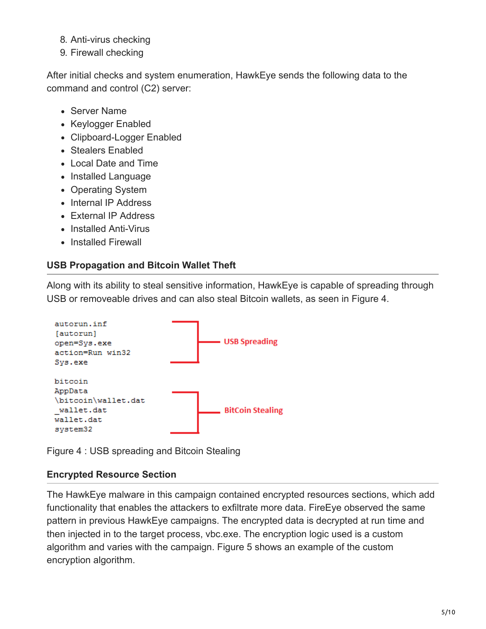- 8. Anti-virus checking
- 9. Firewall checking

After initial checks and system enumeration, HawkEye sends the following data to the command and control (C2) server:

- Server Name
- Keylogger Enabled
- Clipboard-Logger Enabled
- Stealers Enabled
- Local Date and Time
- Installed Language
- Operating System
- Internal IP Address
- External IP Address
- Installed Anti-Virus
- Installed Firewall

#### **USB Propagation and Bitcoin Wallet Theft**

Along with its ability to steal sensitive information, HawkEye is capable of spreading through USB or removeable drives and can also steal Bitcoin wallets, as seen in Figure 4.



Figure 4 : USB spreading and Bitcoin Stealing

#### **Encrypted Resource Section**

The HawkEye malware in this campaign contained encrypted resources sections, which add functionality that enables the attackers to exfiltrate more data. FireEye observed the same pattern in previous HawkEye campaigns. The encrypted data is decrypted at run time and then injected in to the target process, vbc.exe. The encryption logic used is a custom algorithm and varies with the campaign. Figure 5 shows an example of the custom encryption algorithm.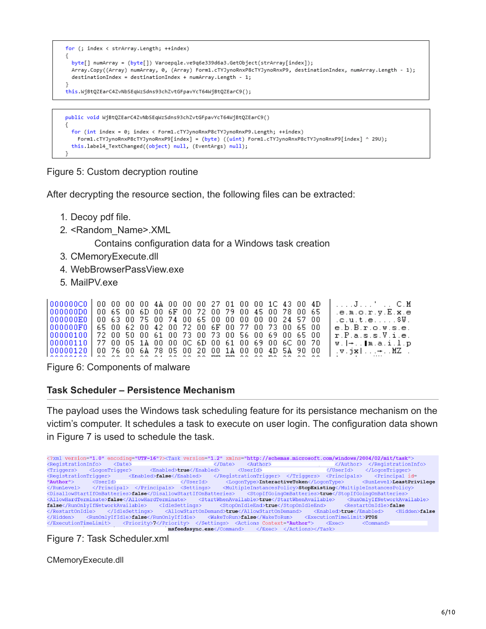

```
for (int index = 0; index < Form1.cTYJynoRnxP8cTYJynoRnxP9.Length; ++index)
 Form1.cTYJynoRnxP8cTYJynoRnxP9[index] = (byte) ((uint) Form1.cTYJynoRnxP8cTYJynoRnxP9[index] ^ 29U);
this.label4_TextChanged((object) null, (EventArgs) null);
```
Figure 5: Custom decryption routine

After decrypting the resource section, the following files can be extracted:

- 1. Decoy pdf file.
- 2. <Random\_Name>.XML

Contains configuration data for a Windows task creation

- 3. CMemoryExecute.dll
- 4. WebBrowserPassView.exe
- 5. MailPV.exe

| 000000000 00 00 00 00 00 4A 00 00 00 27 01 00 00 1C 43 00 4D |  |  |  |  |  |  |  |  | . J <sup>. .</sup> C . M                                                   |
|--------------------------------------------------------------|--|--|--|--|--|--|--|--|----------------------------------------------------------------------------|
| 000000D0 00 65 00 6D 00 6F 00 72 00 79 00 45 00 78 00 65     |  |  |  |  |  |  |  |  | .e.m.o.r.y.E.x.e                                                           |
|                                                              |  |  |  |  |  |  |  |  | .c.u.t.eSV.                                                                |
| 000000F0 65 00 62 00 42 00 72 00 6F 00 77 00 73 00 65 00     |  |  |  |  |  |  |  |  | e.b.B.r.o.w.s.e.                                                           |
|                                                              |  |  |  |  |  |  |  |  | r.P.a.s.s.V.i.e.                                                           |
| 00000110  77 00 05 1A 00 00 0C 6D 00 61 00 69 00 6C 00 70    |  |  |  |  |  |  |  |  | $w.$ $\rightarrow$ Im.a.i.l.p                                              |
| 00000120 00 76 00 6A 78 05 00 20 00 1A 00 00 4D 5A 90 00     |  |  |  |  |  |  |  |  | $\mathbf{v} \cdot \mathbf{y}$ $\mathbf{x}$ $\mathbf{w} \cdot \mathbf{y}$ . |
|                                                              |  |  |  |  |  |  |  |  |                                                                            |

Figure 6: Components of malware

#### **Task Scheduler – Persistence Mechanism**

The payload uses the Windows task scheduling feature for its persistance mechanism on the victim's computer. It schedules a task to execute on user login. The configuration data shown in Figure 7 is used to schedule the task.



Figure 7: Task Scheduler.xml

CMemoryExecute.dll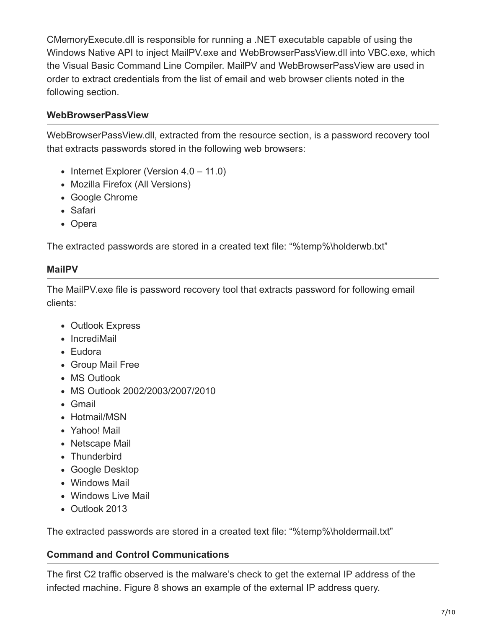CMemoryExecute.dll is responsible for running a .NET executable capable of using the Windows Native API to inject MailPV.exe and WebBrowserPassView.dll into VBC.exe, which the Visual Basic Command Line Compiler. MailPV and WebBrowserPassView are used in order to extract credentials from the list of email and web browser clients noted in the following section.

#### **WebBrowserPassView**

WebBrowserPassView.dll, extracted from the resource section, is a password recovery tool that extracts passwords stored in the following web browsers:

- Internet Explorer (Version  $4.0 11.0$ )
- Mozilla Firefox (All Versions)
- Google Chrome
- Safari
- Opera

The extracted passwords are stored in a created text file: "%temp%\holderwb.txt"

#### **MailPV**

The MailPV.exe file is password recovery tool that extracts password for following email clients:

- Outlook Express
- IncrediMail
- Eudora
- Group Mail Free
- MS Outlook
- MS Outlook 2002/2003/2007/2010
- Gmail
- Hotmail/MSN
- Yahoo! Mail
- Netscape Mail
- Thunderbird
- Google Desktop
- Windows Mail
- Windows Live Mail
- Outlook 2013

The extracted passwords are stored in a created text file: "%temp%\holdermail.txt"

#### **Command and Control Communications**

The first C2 traffic observed is the malware's check to get the external IP address of the infected machine. Figure 8 shows an example of the external IP address query.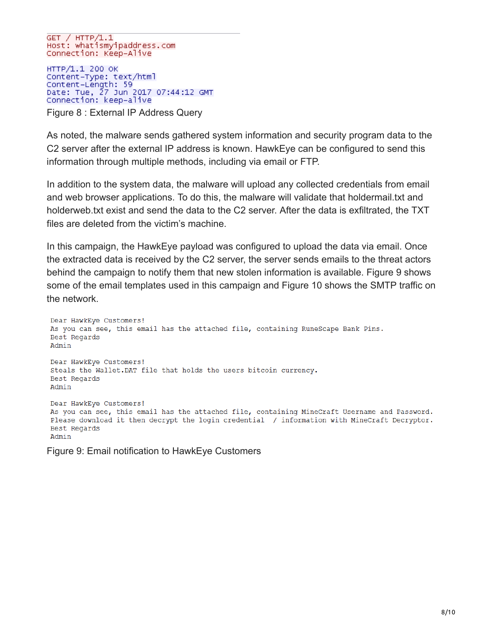GET / HTTP/1.1<br>Host: whatismyipaddress.com Connection: Keep-Alive

HTTP/1.1 200 OK Content-Type: text/html Content-Length: 59 Date: Tue, 27 Jun 2017 07:44:12 GMT<br>Connection: keep-alive

Figure 8 : External IP Address Query

As noted, the malware sends gathered system information and security program data to the C2 server after the external IP address is known. HawkEye can be configured to send this information through multiple methods, including via email or FTP.

In addition to the system data, the malware will upload any collected credentials from email and web browser applications. To do this, the malware will validate that holdermail.txt and holderweb.txt exist and send the data to the C2 server. After the data is exfiltrated, the TXT files are deleted from the victim's machine.

In this campaign, the HawkEye payload was configured to upload the data via email. Once the extracted data is received by the C2 server, the server sends emails to the threat actors behind the campaign to notify them that new stolen information is available. Figure 9 shows some of the email templates used in this campaign and Figure 10 shows the SMTP traffic on the network.

Dear HawkEye Customers! As you can see, this email has the attached file, containing RuneScape Bank Pins. Best Regards Admin Dear HawkEye Customers! Steals the Wallet. DAT file that holds the users bitcoin currency. Best Regards Admin Dear HawkEye Customers! As you can see, this email has the attached file, containing MineCraft Username and Password. Please download it then decrypt the login credential / information with MineCraft Decryptor. Best Regards Admin

Figure 9: Email notification to HawkEye Customers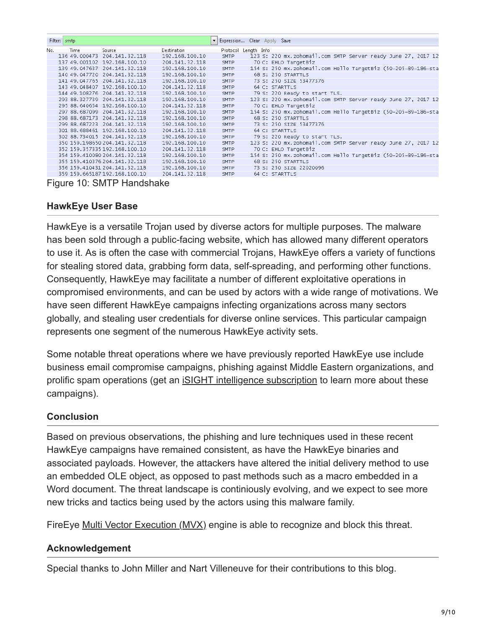|     | Filter: smtp  |                                   | $\blacktriangledown$ |                      | Expression Clear Apply Save                                   |
|-----|---------------|-----------------------------------|----------------------|----------------------|---------------------------------------------------------------|
| No. | Time          | Source                            | <b>Destination</b>   | Protocol Length Info |                                                               |
|     | 136 49.000473 | 204.141.32.118                    | 192.168.100.10       | <b>SMTP</b>          | 123 S: 220 mx.zohomail.com SMTP Server ready June 27, 2017 12 |
|     |               | 137 49.001102 192.168.100.10      | 204.141.32.118       | <b>SMTP</b>          | 70 C: EHLO TargetBiz                                          |
|     |               | 139 49.047637 204.141.32.118      | 192.168.100.10       | <b>SMTP</b>          | 154 S: 250 mx.zohomail.com Hello TargetBiz (50-205-89-186-sta |
|     |               | 140 49.047720 204.141.32.118      | 192.168.100.10       | <b>SMTP</b>          | 68 S: 250 STARTTLS                                            |
|     | 141 49.047765 | 204.141.32.118                    | 192.168.100.10       | <b>SMTP</b>          | 73 S: 250 SIZE 53477376                                       |
|     |               | 143 49.048407 192.168.100.10      | 204.141.32.118       | <b>SMTP</b>          | 64 C: STARTTLS                                                |
|     |               | 144 49.108276 204.141.32.118      | 192.168.100.10       | <b>SMTP</b>          | 79 S: 220 Ready to start TLS.                                 |
|     |               | 293 88.327739 204.141.32.118      | 192.168.100.10       | <b>SMTP</b>          | 123 S: 220 mx.zohomail.com SMTP Server ready June 27, 2017 12 |
|     |               | 295 88.640654 192.168.100.10      | 204.141.32.118       | <b>SMTP</b>          | 70 C: EHLO TargetBiz                                          |
|     |               | 297 88.687099 204.141.32.118      | 192.168.100.10       | <b>SMTP</b>          | 154 S: 250 mx.zohomail.com Hello TargetBiz (50-205-89-186-sta |
|     |               | 298 88.687173 204.141.32.118      | 192.168.100.10       | <b>SMTP</b>          | 68 S: 250 STARTTLS                                            |
|     |               | 299 88.687223 204.141.32.118      | 192.168.100.10       | <b>SMTP</b>          | 73 S: 250 SIZE 53477376                                       |
|     |               | 301 88.688461 192.168.100.10      | 204.141.32.118       | <b>SMTP</b>          | 64 C: STARTTLS                                                |
|     |               | 302 88.734015 204.141.32.118      | 192.168.100.10       | <b>SMTP</b>          | 79 S: 220 Ready to start TLS.                                 |
|     |               | 350 159.198650 204.141.32.118     | 192.168.100.10       | <b>SMTP</b>          | 123 S: 220 mx.zohomail.com SMTP Server ready June 27, 2017 12 |
|     |               | 352 159.357335 192.168.100.10     | 204.141.32.118       | <b>SMTP</b>          | 70 C: EHLO TargetBiz                                          |
|     |               | 354 159.410080 204.141.32.118     | 192.168.100.10       | <b>SMTP</b>          | 154 S: 250 mx.zohomail.com Hello TargetBiz (50-205-89-186-sta |
|     |               | 355 159, 410376 204, 141, 32, 118 | 192.168.100.10       | <b>SMTP</b>          | 68 S: 250 STARTTLS                                            |
|     |               | 356 159.410431 204.141.32.118     | 192.168.100.10       | <b>SMTP</b>          | 73 S: 250 SIZE 22020096                                       |
|     |               | 359 159, 665187 192, 168, 100, 10 | 204.141.32.118       | <b>SMTP</b>          | 64 C: STARTTLS                                                |

Figure 10: SMTP Handshake

#### **HawkEye User Base**

HawkEye is a versatile Trojan used by diverse actors for multiple purposes. The malware has been sold through a public-facing website, which has allowed many different operators to use it. As is often the case with commercial Trojans, HawkEye offers a variety of functions for stealing stored data, grabbing form data, self-spreading, and performing other functions. Consequently, HawkEye may facilitate a number of different exploitative operations in compromised environments, and can be used by actors with a wide range of motivations. We have seen different HawkEye campaigns infecting organizations across many sectors globally, and stealing user credentials for diverse online services. This particular campaign represents one segment of the numerous HawkEye activity sets.

Some notable threat operations where we have previously reported HawkEye use include business email compromise campaigns, phishing against Middle Eastern organizations, and prolific spam operations (get an [iSIGHT intelligence subscription](https://www.fireeye.com/products/isight-cyber-threat-intelligence-subscriptions/isight-intelligence-details.html) to learn more about these campaigns).

#### **Conclusion**

Based on previous observations, the phishing and lure techniques used in these recent HawkEye campaigns have remained consistent, as have the HawkEye binaries and associated payloads. However, the attackers have altered the initial delivery method to use an embedded OLE object, as opposed to past methods such as a macro embedded in a Word document. The threat landscape is continiously evolving, and we expect to see more new tricks and tactics being used by the actors using this malware family.

FireEye [Multi Vector Execution \(MVX\)](https://www.fireeye.com/) engine is able to recognize and block this threat.

#### **Acknowledgement**

Special thanks to John Miller and Nart Villeneuve for their contributions to this blog.